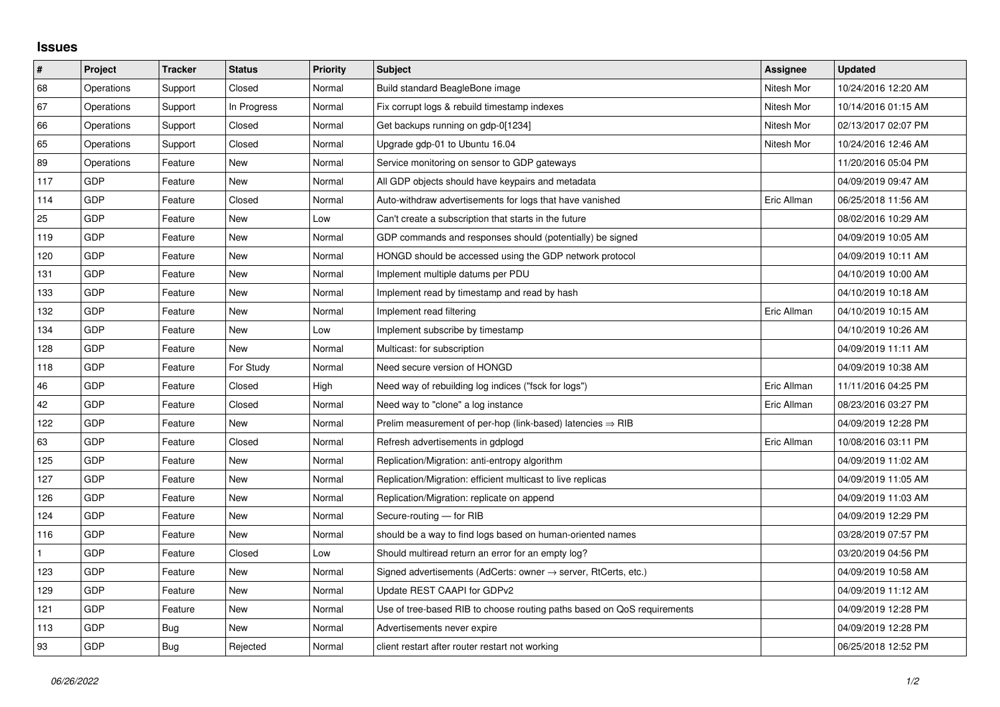## **Issues**

| $\vert$ # | Project    | <b>Tracker</b> | <b>Status</b> | <b>Priority</b> | <b>Subject</b>                                                             | Assignee    | <b>Updated</b>      |
|-----------|------------|----------------|---------------|-----------------|----------------------------------------------------------------------------|-------------|---------------------|
| 68        | Operations | Support        | Closed        | Normal          | Build standard BeagleBone image                                            | Nitesh Mor  | 10/24/2016 12:20 AM |
| 67        | Operations | Support        | In Progress   | Normal          | Fix corrupt logs & rebuild timestamp indexes                               | Nitesh Mor  | 10/14/2016 01:15 AM |
| 66        | Operations | Support        | Closed        | Normal          | Get backups running on gdp-0[1234]                                         | Nitesh Mor  | 02/13/2017 02:07 PM |
| 65        | Operations | Support        | Closed        | Normal          | Upgrade gdp-01 to Ubuntu 16.04                                             | Nitesh Mor  | 10/24/2016 12:46 AM |
| 89        | Operations | Feature        | New           | Normal          | Service monitoring on sensor to GDP gateways                               |             | 11/20/2016 05:04 PM |
| 117       | <b>GDP</b> | Feature        | New           | Normal          | All GDP objects should have keypairs and metadata                          |             | 04/09/2019 09:47 AM |
| 114       | <b>GDP</b> | Feature        | Closed        | Normal          | Auto-withdraw advertisements for logs that have vanished                   | Eric Allman | 06/25/2018 11:56 AM |
| 25        | <b>GDP</b> | Feature        | <b>New</b>    | Low             | Can't create a subscription that starts in the future                      |             | 08/02/2016 10:29 AM |
| 119       | <b>GDP</b> | Feature        | New           | Normal          | GDP commands and responses should (potentially) be signed                  |             | 04/09/2019 10:05 AM |
| 120       | <b>GDP</b> | Feature        | <b>New</b>    | Normal          | HONGD should be accessed using the GDP network protocol                    |             | 04/09/2019 10:11 AM |
| 131       | GDP        | Feature        | New           | Normal          | Implement multiple datums per PDU                                          |             | 04/10/2019 10:00 AM |
| 133       | <b>GDP</b> | Feature        | New           | Normal          | Implement read by timestamp and read by hash                               |             | 04/10/2019 10:18 AM |
| 132       | GDP        | Feature        | <b>New</b>    | Normal          | Implement read filtering                                                   | Eric Allman | 04/10/2019 10:15 AM |
| 134       | GDP        | Feature        | New           | Low             | Implement subscribe by timestamp                                           |             | 04/10/2019 10:26 AM |
| 128       | <b>GDP</b> | Feature        | <b>New</b>    | Normal          | Multicast: for subscription                                                |             | 04/09/2019 11:11 AM |
| 118       | <b>GDP</b> | Feature        | For Study     | Normal          | Need secure version of HONGD                                               |             | 04/09/2019 10:38 AM |
| 46        | <b>GDP</b> | Feature        | Closed        | High            | Need way of rebuilding log indices ("fsck for logs")                       | Eric Allman | 11/11/2016 04:25 PM |
| 42        | <b>GDP</b> | Feature        | Closed        | Normal          | Need way to "clone" a log instance                                         | Eric Allman | 08/23/2016 03:27 PM |
| 122       | <b>GDP</b> | Feature        | New           | Normal          | Prelim measurement of per-hop (link-based) latencies $\Rightarrow$ RIB     |             | 04/09/2019 12:28 PM |
| 63        | <b>GDP</b> | Feature        | Closed        | Normal          | Refresh advertisements in gdplogd                                          | Eric Allman | 10/08/2016 03:11 PM |
| 125       | <b>GDP</b> | Feature        | <b>New</b>    | Normal          | Replication/Migration: anti-entropy algorithm                              |             | 04/09/2019 11:02 AM |
| 127       | <b>GDP</b> | Feature        | New           | Normal          | Replication/Migration: efficient multicast to live replicas                |             | 04/09/2019 11:05 AM |
| 126       | <b>GDP</b> | Feature        | <b>New</b>    | Normal          | Replication/Migration: replicate on append                                 |             | 04/09/2019 11:03 AM |
| 124       | GDP        | Feature        | New           | Normal          | Secure-routing - for RIB                                                   |             | 04/09/2019 12:29 PM |
| 116       | <b>GDP</b> | Feature        | <b>New</b>    | Normal          | should be a way to find logs based on human-oriented names                 |             | 03/28/2019 07:57 PM |
| 1         | <b>GDP</b> | Feature        | Closed        | Low             | Should multiread return an error for an empty log?                         |             | 03/20/2019 04:56 PM |
| 123       | <b>GDP</b> | Feature        | New           | Normal          | Signed advertisements (AdCerts: owner $\rightarrow$ server, RtCerts, etc.) |             | 04/09/2019 10:58 AM |
| 129       | <b>GDP</b> | Feature        | <b>New</b>    | Normal          | Update REST CAAPI for GDPv2                                                |             | 04/09/2019 11:12 AM |
| 121       | GDP        | Feature        | New           | Normal          | Use of tree-based RIB to choose routing paths based on QoS requirements    |             | 04/09/2019 12:28 PM |
| 113       | <b>GDP</b> | Bug            | New           | Normal          | Advertisements never expire                                                |             | 04/09/2019 12:28 PM |
| 93        | <b>GDP</b> | Bug            | Rejected      | Normal          | client restart after router restart not working                            |             | 06/25/2018 12:52 PM |